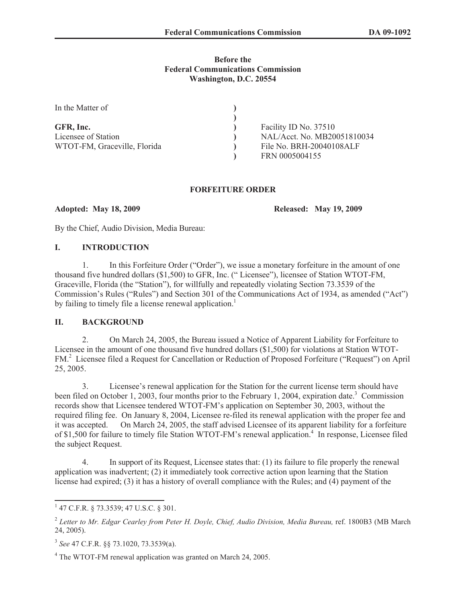### **Before the Federal Communications Commission Washington, D.C. 20554**

| In the Matter of             |                             |
|------------------------------|-----------------------------|
|                              |                             |
| GFR, Inc.                    | Facility ID No. 37510       |
| Licensee of Station          | NAL/Acct. No. MB20051810034 |
| WTOT-FM, Graceville, Florida | File No. BRH-20040108ALF    |
|                              | FRN 0005004155              |

## **FORFEITURE ORDER**

**Adopted: May 18, 2009 Released: May 19, 2009**

By the Chief, Audio Division, Media Bureau:

## **I. INTRODUCTION**

1. In this Forfeiture Order ("Order"), we issue a monetary forfeiture in the amount of one thousand five hundred dollars (\$1,500) to GFR, Inc. (" Licensee"), licensee of Station WTOT-FM, Graceville, Florida (the "Station"), for willfully and repeatedly violating Section 73.3539 of the Commission's Rules ("Rules") and Section 301 of the Communications Act of 1934, as amended ("Act") by failing to timely file a license renewal application.<sup>1</sup>

# **II. BACKGROUND**

2. On March 24, 2005, the Bureau issued a Notice of Apparent Liability for Forfeiture to Licensee in the amount of one thousand five hundred dollars (\$1,500) for violations at Station WTOT-FM.<sup>2</sup> Licensee filed a Request for Cancellation or Reduction of Proposed Forfeiture ("Request") on April 25, 2005.

3. Licensee's renewal application for the Station for the current license term should have been filed on October 1, 2003, four months prior to the February 1, 2004, expiration date.<sup>3</sup> Commission records show that Licensee tendered WTOT-FM's application on September 30, 2003, without the required filing fee. On January 8, 2004, Licensee re-filed its renewal application with the proper fee and it was accepted. On March 24, 2005, the staff advised Licensee of its apparent liability for a forfeiture of \$1,500 for failure to timely file Station WTOT-FM's renewal application.<sup>4</sup> In response, Licensee filed the subject Request.

4. In support of its Request, Licensee states that: (1) its failure to file properly the renewal application was inadvertent; (2) it immediately took corrective action upon learning that the Station license had expired; (3) it has a history of overall compliance with the Rules; and (4) payment of the

<sup>1</sup> 47 C.F.R. § 73.3539; 47 U.S.C. § 301.

<sup>&</sup>lt;sup>2</sup> Letter to Mr. Edgar Cearley from Peter H. Doyle, Chief, Audio Division, Media Bureau, ref. 1800B3 (MB March 24, 2005).

<sup>3</sup> *See* 47 C.F.R. §§ 73.1020, 73.3539(a).

<sup>4</sup> The WTOT-FM renewal application was granted on March 24, 2005.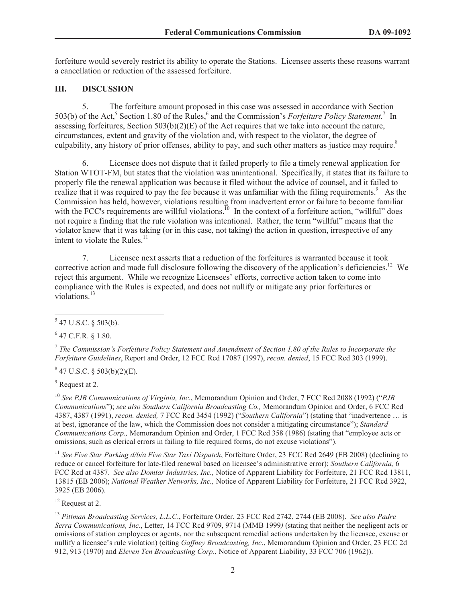forfeiture would severely restrict its ability to operate the Stations. Licensee asserts these reasons warrant a cancellation or reduction of the assessed forfeiture.

# **III. DISCUSSION**

5. The forfeiture amount proposed in this case was assessed in accordance with Section 503(b) of the Act,<sup>5</sup> Section 1.80 of the Rules,<sup>6</sup> and the Commission's *Forfeiture Policy Statement*.<sup>7</sup> In assessing forfeitures, Section 503(b)(2)(E) of the Act requires that we take into account the nature, circumstances, extent and gravity of the violation and, with respect to the violator, the degree of culpability, any history of prior offenses, ability to pay, and such other matters as justice may require.<sup>8</sup>

6. Licensee does not dispute that it failed properly to file a timely renewal application for Station WTOT-FM, but states that the violation was unintentional. Specifically, it states that its failure to properly file the renewal application was because it filed without the advice of counsel, and it failed to realize that it was required to pay the fee because it was unfamiliar with the filing requirements.<sup>9</sup> As the Commission has held, however, violations resulting from inadvertent error or failure to become familiar with the FCC's requirements are willful violations.<sup>10</sup> In the context of a forfeiture action, "willful" does not require a finding that the rule violation was intentional. Rather, the term "willful" means that the violator knew that it was taking (or in this case, not taking) the action in question, irrespective of any intent to violate the Rules. $<sup>11</sup>$ </sup>

7. Licensee next asserts that a reduction of the forfeitures is warranted because it took corrective action and made full disclosure following the discovery of the application's deficiencies.<sup>12</sup> We reject this argument. While we recognize Licensees' efforts, corrective action taken to come into compliance with the Rules is expected, and does not nullify or mitigate any prior forfeitures or violations.<sup>13</sup>

 $6$  47 C.F.R. § 1.80.

7 *The Commission's Forfeiture Policy Statement and Amendment of Section 1.80 of the Rules to Incorporate the Forfeiture Guidelines*, Report and Order, 12 FCC Rcd 17087 (1997), *recon. denied*, 15 FCC Rcd 303 (1999).

 $847$  U.S.C. § 503(b)(2)(E).

<sup>9</sup> Request at 2*.*

<sup>10</sup> *See PJB Communications of Virginia, Inc*., Memorandum Opinion and Order, 7 FCC Rcd 2088 (1992) ("*PJB Communications*"); *see also Southern California Broadcasting Co.,* Memorandum Opinion and Order, 6 FCC Rcd 4387, 4387 (1991), *recon. denied,* 7 FCC Rcd 3454 (1992) ("*Southern California*") (stating that "inadvertence … is at best, ignorance of the law, which the Commission does not consider a mitigating circumstance"); *Standard Communications Corp.,* Memorandum Opinion and Order, 1 FCC Rcd 358 (1986) (stating that "employee acts or omissions, such as clerical errors in failing to file required forms, do not excuse violations").

<sup>11</sup> *See Five Star Parking d/b/a Five Star Taxi Dispatch*, Forfeiture Order, 23 FCC Rcd 2649 (EB 2008) (declining to reduce or cancel forfeiture for late-filed renewal based on licensee's administrative error); *Southern California,* 6 FCC Rcd at 4387. *See also Domtar Industries, Inc.,* Notice of Apparent Liability for Forfeiture, 21 FCC Rcd 13811, 13815 (EB 2006); *National Weather Networks, Inc.,* Notice of Apparent Liability for Forfeiture, 21 FCC Rcd 3922, 3925 (EB 2006).

<sup>12</sup> Request at 2.

<sup>13</sup> *Pittman Broadcasting Services, L.L.C*., Forfeiture Order, 23 FCC Rcd 2742, 2744 (EB 2008). *See also Padre Serra Communications, Inc.*, Letter, 14 FCC Rcd 9709, 9714 (MMB 1999*)* (stating that neither the negligent acts or omissions of station employees or agents, nor the subsequent remedial actions undertaken by the licensee, excuse or nullify a licensee's rule violation) (citing *Gaffney Broadcasting, Inc*., Memorandum Opinion and Order, 23 FCC 2d 912, 913 (1970) and *Eleven Ten Broadcasting Corp*., Notice of Apparent Liability, 33 FCC 706 (1962)).

 $547$  U.S.C. § 503(b).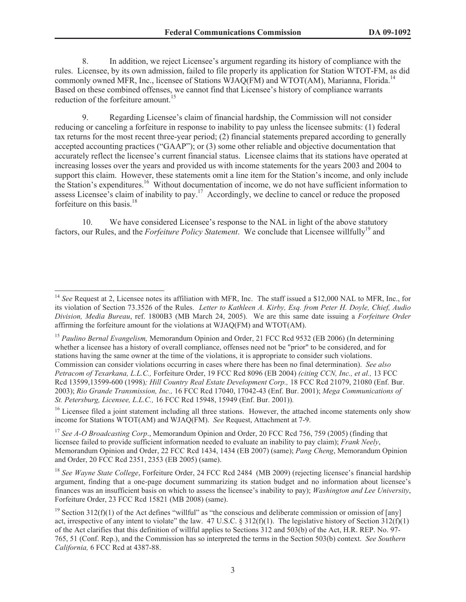8. In addition, we reject Licensee's argument regarding its history of compliance with the rules. Licensee, by its own admission, failed to file properly its application for Station WTOT-FM, as did commonly owned MFR, Inc., licensee of Stations WJAQ(FM) and WTOT(AM), Marianna, Florida.<sup>14</sup> Based on these combined offenses, we cannot find that Licensee's history of compliance warrants reduction of the forfeiture amount.<sup>15</sup>

9. Regarding Licensee's claim of financial hardship, the Commission will not consider reducing or canceling a forfeiture in response to inability to pay unless the licensee submits: (1) federal tax returns for the most recent three-year period; (2) financial statements prepared according to generally accepted accounting practices ("GAAP"); or (3) some other reliable and objective documentation that accurately reflect the licensee's current financial status. Licensee claims that its stations have operated at increasing losses over the years and provided us with income statements for the years 2003 and 2004 to support this claim. However, these statements omit a line item for the Station's income, and only include the Station's expenditures.<sup>16</sup> Without documentation of income, we do not have sufficient information to assess Licensee's claim of inability to pay.<sup>17</sup> Accordingly, we decline to cancel or reduce the proposed forfeiture on this basis.<sup>18</sup>

10. We have considered Licensee's response to the NAL in light of the above statutory factors, our Rules, and the *Forfeiture Policy Statement*. We conclude that Licensee willfully<sup>19</sup> and

<sup>14</sup> *See* Request at 2, Licensee notes its affiliation with MFR, Inc. The staff issued a \$12,000 NAL to MFR, Inc., for its violation of Section 73.3526 of the Rules. *Letter to Kathleen A. Kirby, Esq. from Peter H. Doyle, Chief, Audio Division, Media Bureau*, ref. 1800B3 (MB March 24, 2005). We are this same date issuing a *Forfeiture Order*  affirming the forfeiture amount for the violations at WJAQ(FM) and WTOT(AM).

<sup>15</sup> *Paulino Bernal Evangelism,* Memorandum Opinion and Order, 21 FCC Rcd 9532 (EB 2006) (In determining whether a licensee has a history of overall compliance, offenses need not be "prior" to be considered, and for stations having the same owner at the time of the violations, it is appropriate to consider such violations. Commission can consider violations occurring in cases where there has been no final determination). *See also Petracom of Texarkana, L.L.C.,* Forfeiture Order, 19 FCC Rcd 8096 (EB 2004) *(citing CCN, Inc., et al.,* 13 FCC Rcd 13599,13599-600 (1998)*; Hill Country Real Estate Development Corp.,* 18 FCC Rcd 21079, 21080 (Enf. Bur. 2003); *Rio Grande Transmission, Inc.,* 16 FCC Rcd 17040, 17042-43 (Enf. Bur. 2001); *Mega Communications of St. Petersburg, Licensee, L.L.C.,* 16 FCC Rcd 15948, 15949 (Enf. Bur. 2001))*.*

<sup>&</sup>lt;sup>16</sup> Licensee filed a joint statement including all three stations. However, the attached income statements only show income for Stations WTOT(AM) and WJAQ(FM). *See* Request, Attachment at 7-9.

<sup>&</sup>lt;sup>17</sup> *See A-O Broadcasting Corp.*, Memorandum Opinion and Order, 20 FCC Rcd 756, 759 (2005) (finding that licensee failed to provide sufficient information needed to evaluate an inability to pay claim); *Frank Neely*, Memorandum Opinion and Order, 22 FCC Rcd 1434, 1434 (EB 2007) (same); *Pang Cheng*, Memorandum Opinion and Order, 20 FCC Rcd 2351, 2353 (EB 2005) (same).

<sup>&</sup>lt;sup>18</sup> See Wayne State College, Forfeiture Order, 24 FCC Rcd 2484 (MB 2009) (rejecting licensee's financial hardship argument, finding that a one-page document summarizing its station budget and no information about licensee's finances was an insufficient basis on which to assess the licensee's inability to pay); *Washington and Lee University*, Forfeiture Order, 23 FCC Rcd 15821 (MB 2008) (same).

<sup>&</sup>lt;sup>19</sup> Section 312(f)(1) of the Act defines "willful" as "the conscious and deliberate commission or omission of [any] act, irrespective of any intent to violate" the law. 47 U.S.C. § 312(f)(1). The legislative history of Section 312(f)(1) of the Act clarifies that this definition of willful applies to Sections 312 and 503(b) of the Act, H.R. REP. No. 97- 765, 51 (Conf. Rep.), and the Commission has so interpreted the terms in the Section 503(b) context. *See Southern California,* 6 FCC Rcd at 4387-88.